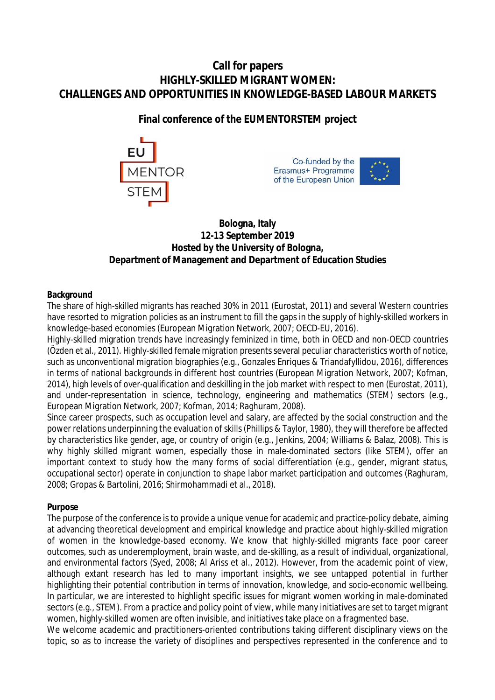# **Call for papers HIGHLY-SKILLED MIGRANT WOMEN: CHALLENGES AND OPPORTUNITIES IN KNOWLEDGE-BASED LABOUR MARKETS**

# **Final conference of the EUMENTORSTEM project**







# **Bologna, Italy 12-13 September 2019 Hosted by the University of Bologna, Department of Management and Department of Education Studies**

# **Background**

The share of high-skilled migrants has reached 30% in 2011 (Eurostat, 2011) and several Western countries have resorted to migration policies as an instrument to fill the gaps in the supply of highly-skilled workers in knowledge-based economies (European Migration Network, 2007; OECD-EU, 2016).

Highly-skilled migration trends have increasingly feminized in time, both in OECD and non-OECD countries (Özden et al., 2011). Highly-skilled female migration presents several peculiar characteristics worth of notice, such as unconventional migration biographies (e.g., Gonzales Enriques & Triandafyllidou, 2016), differences in terms of national backgrounds in different host countries (European Migration Network, 2007; Kofman, 2014), high levels of over-qualification and deskilling in the job market with respect to men (Eurostat, 2011), and under-representation in science, technology, engineering and mathematics (STEM) sectors (e.g., European Migration Network, 2007; Kofman, 2014; Raghuram, 2008).

Since career prospects, such as occupation level and salary, are affected by the social construction and the power relations underpinning the evaluation of skills (Phillips & Taylor, 1980), they will therefore be affected by characteristics like gender, age, or country of origin (e.g., Jenkins, 2004; Williams & Balaz, 2008). This is why highly skilled migrant women, especially those in male-dominated sectors (like STEM), offer an important context to study how the many forms of social differentiation (e.g., gender, migrant status, occupational sector) operate in conjunction to shape labor market participation and outcomes (Raghuram, 2008; Gropas & Bartolini, 2016; Shirmohammadi et al., 2018).

#### **Purpose**

The purpose of the conference is to provide a unique venue for academic and practice-policy debate, aiming at advancing theoretical development and empirical knowledge and practice about highly-skilled migration of women in the knowledge-based economy. We know that highly-skilled migrants face poor career outcomes, such as underemployment, brain waste, and de-skilling, as a result of individual, organizational, and environmental factors (Syed, 2008; Al Ariss et al., 2012). However, from the academic point of view, although extant research has led to many important insights, we see untapped potential in further highlighting their potential contribution in terms of innovation, knowledge, and socio-economic wellbeing. In particular, we are interested to highlight specific issues for migrant women working in male-dominated sectors (e.g., STEM). From a practice and policy point of view, while many initiatives are set to target migrant women, highly-skilled women are often invisible, and initiatives take place on a fragmented base.

We welcome academic and practitioners-oriented contributions taking different disciplinary views on the topic, so as to increase the variety of disciplines and perspectives represented in the conference and to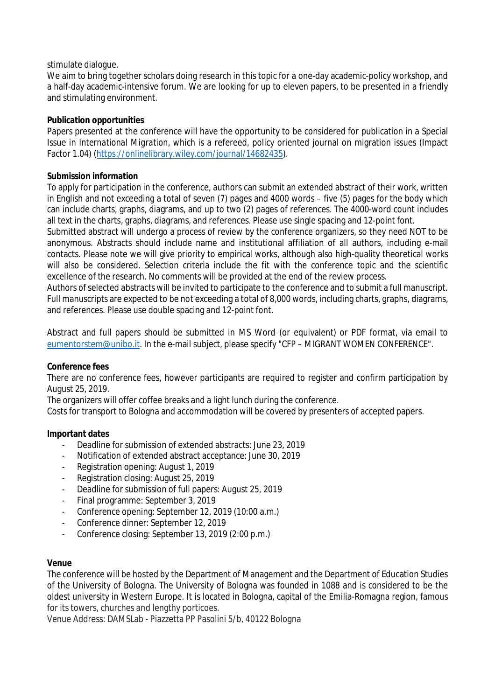## stimulate dialogue.

We aim to bring together scholars doing research in this topic for a one-day academic-policy workshop, and a half-day academic-intensive forum. We are looking for up to eleven papers, to be presented in a friendly and stimulating environment.

# **Publication opportunities**

Papers presented at the conference will have the opportunity to be considered for publication in a Special Issue in *International Migration*, which is a refereed, policy oriented journal on migration issues (Impact Factor 1.04) ([https://onlinelibrary.wiley.com/journal/14682435\).](https://onlinelibrary.wiley.com/journal/14682435).)

# **Submission information**

To apply for participation in the conference, authors can submit an extended abstract of their work, written in English and not exceeding a total of seven (7) pages and 4000 words – five (5) pages for the body which can include charts, graphs, diagrams, and up to two (2) pages of references. The 4000-word count includes all text in the charts, graphs, diagrams, and references. Please use single spacing and 12-point font.

Submitted abstract will undergo a process of review by the conference organizers, so they need NOT to be anonymous. Abstracts should include name and institutional affiliation of all authors, including e-mail contacts. Please note we will give priority to empirical works, although also high-quality theoretical works will also be considered. Selection criteria include the fit with the conference topic and the scientific excellence of the research. No comments will be provided at the end of the review process.

Authors of selected abstracts will be invited to participate to the conference and to submit a full manuscript. Full manuscripts are expected to be not exceeding a total of 8,000 words, including charts, graphs, diagrams, and references. Please use double spacing and 12-point font.

Abstract and full papers should be submitted in MS Word (or equivalent) or PDF format, via email to [eumentorstem@unibo.it.](mailto:eumentorstem@unibo.it.) In the e-mail subject, please specify "CFP – MIGRANT WOMEN CONFERENCE".

#### **Conference fees**

There are no conference fees, however participants are required to register and confirm participation by August 25, 2019.

The organizers will offer coffee breaks and a light lunch during the conference.

Costs for transport to Bologna and accommodation will be covered by presenters of accepted papers.

#### **Important dates**

- Deadline for submission of extended abstracts: June 23, 2019
- Notification of extended abstract acceptance: June 30, 2019
- Registration opening: August 1, 2019
- Registration closing: August 25, 2019
- Deadline for submission of full papers: August 25, 2019
- Final programme: September 3, 2019
- Conference opening: September 12, 2019 (10:00 a.m.)
- Conference dinner: September 12, 2019
- Conference closing: September 13, 2019 (2:00 p.m.)

#### **Venue**

The conference will be hosted by the Department of Management and the Department of Education Studies of the University of Bologna. The University of Bologna was founded in 1088 and is considered to be the oldest university in Western Europe. It is located in Bologna, capital of the Emilia-Romagna region, famous for its towers, churches and lengthy porticoes.

Venue Address: DAMSLab - Piazzetta PP Pasolini 5/b, 40122 Bologna